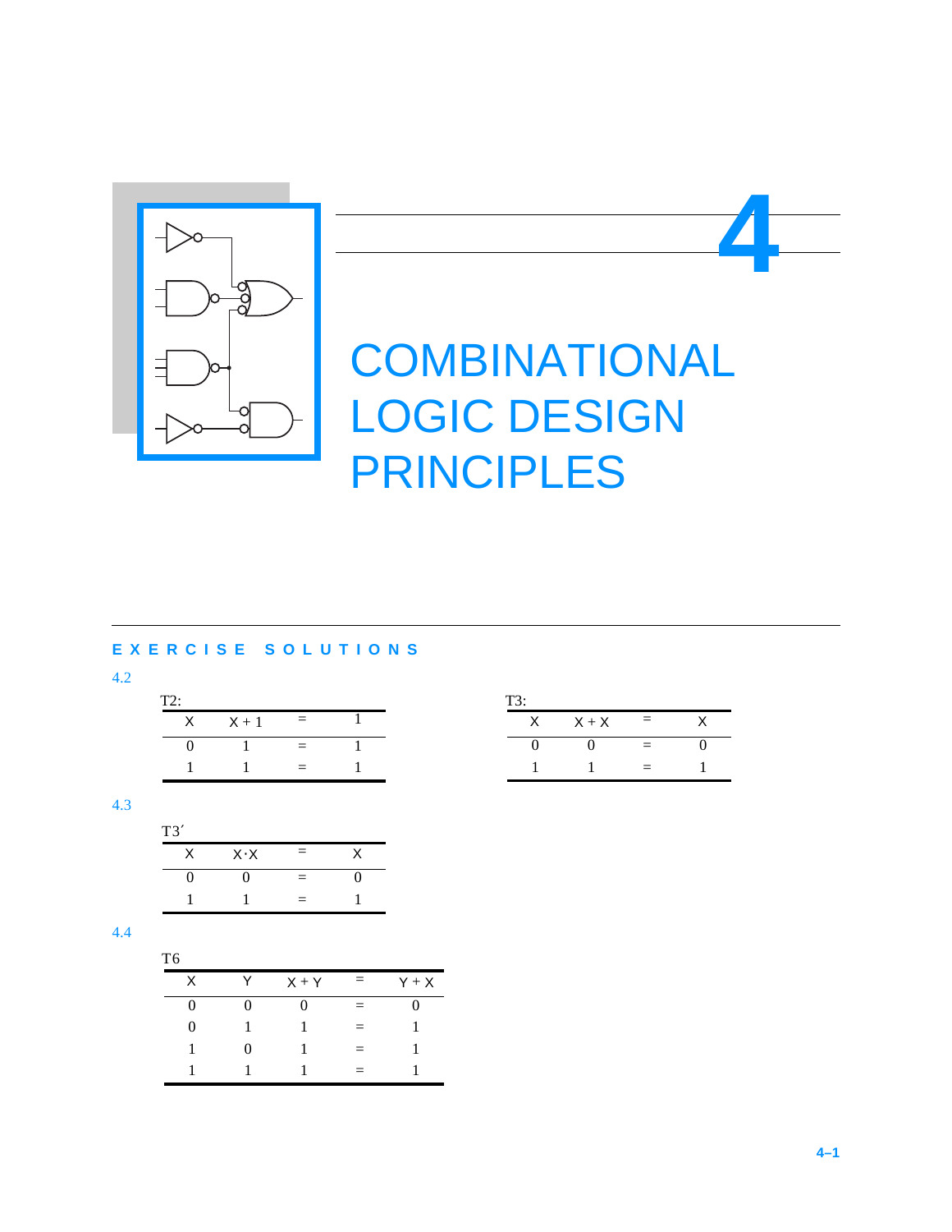

# **COMBINATIONAL** LOGIC DESIGN PRINCIPLES

# **EXERCISE SOLUTIONS**

4.2

| T2: |         |   |  |
|-----|---------|---|--|
|     | $X + 1$ | = |  |
|     |         |   |  |
|     |         |   |  |

| T3: |         |          |  |  |  |
|-----|---------|----------|--|--|--|
|     | $X + X$ | $=$      |  |  |  |
|     |         | $\equiv$ |  |  |  |
|     |         | Ξ        |  |  |  |

**4**

# 4.3

| T3' |             |     |   |
|-----|-------------|-----|---|
| Χ   | $X \cdot X$ | $=$ |   |
| 0   |             | $=$ | 0 |
|     |             | $=$ |   |

| T6 |   |         |          |         |
|----|---|---------|----------|---------|
| X  |   | $X + Y$ | $=$      | $Y + X$ |
| 0  |   |         | $\equiv$ | O       |
| 0  |   |         | $=$      |         |
|    | 0 |         | $=$      |         |
|    |   |         | $\equiv$ |         |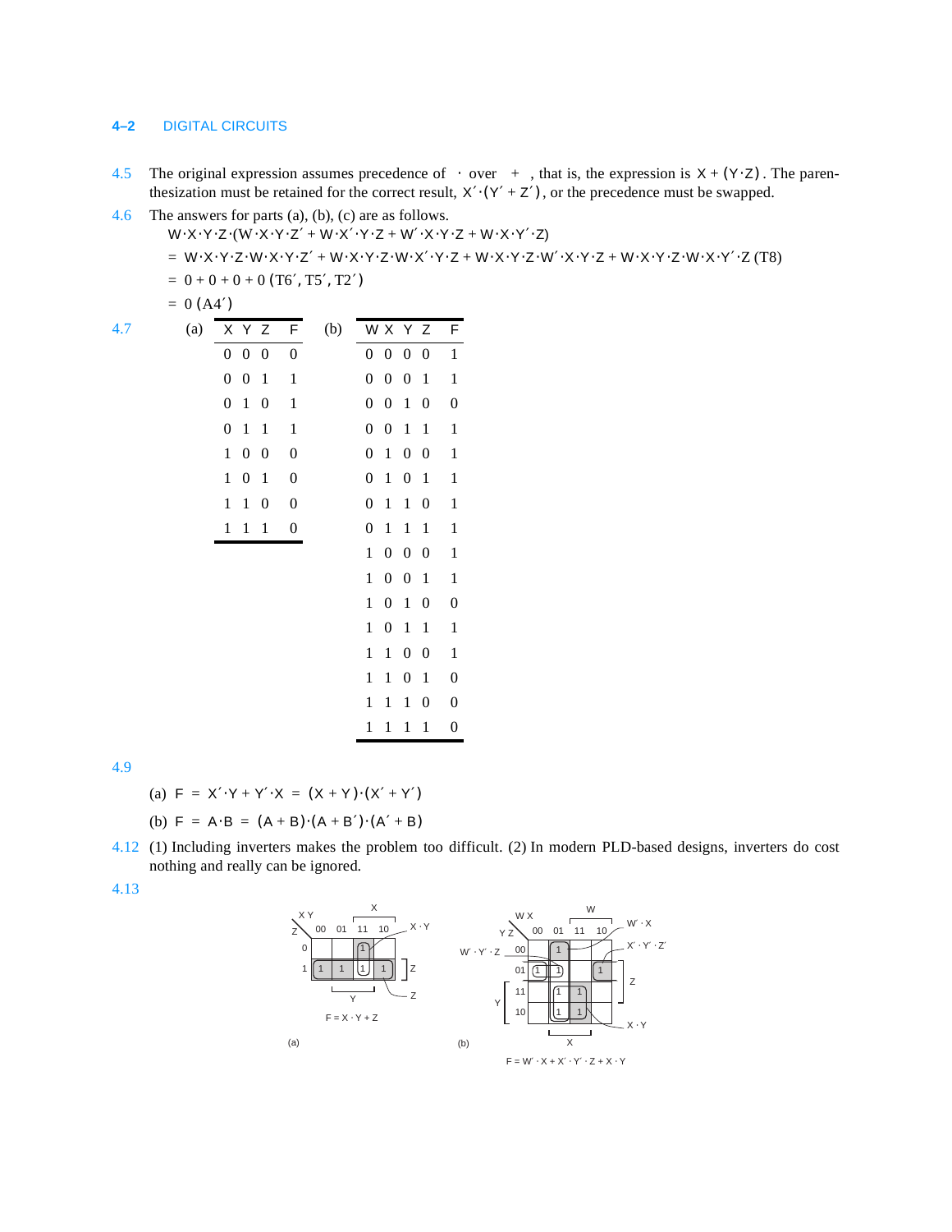## **4–2** DIGITAL CIRCUITS

 $0 (A4')$ 

- 4.5 The original expression assumes precedence of over  $+$ , that is, the expression is  $X + (Y \cdot Z)$ . The parenthesization must be retained for the correct result,  $X'·(Y' + Z')$ , or the precedence must be swapped.
- 4.6 The answers for parts (a), (b), (c) are as follows.

 $W \cdot X \cdot Y \cdot Z \cdot (W \cdot X \cdot Y \cdot Z' + W \cdot X' \cdot Y \cdot Z + W' \cdot X \cdot Y \cdot Z + W \cdot X \cdot Y' \cdot Z)$ 

 $= W\cdot X\cdot Y\cdot Z\cdot W\cdot X\cdot Y\cdot Z'\n + W\cdot X\cdot Y\cdot Z\cdot W\cdot X'\cdot Y\cdot Z\n + W\cdot X\cdot Y\cdot Z\n + W\cdot X\cdot Y\cdot Z + W\cdot X\cdot Y\cdot Z\cdot W\cdot X\cdot Y'\cdot Z\cdot (T8)$ 

 $= 0 + 0 + 0 + 0$  (T6', T5', T2')

$$
\mathcal{L}_{\mathcal{A}}\mathcal{L}_{\mathcal{A}}=\mathcal{L}_{\mathcal{A}}\mathcal{L}_{\mathcal{A}}
$$

| 4.7 | (a) | X Y Z                                                | F                | (b) | W X Y Z                              |                   |                  | F                |
|-----|-----|------------------------------------------------------|------------------|-----|--------------------------------------|-------------------|------------------|------------------|
|     |     | $\overline{0}$<br>$0\quad 0$                         | $\boldsymbol{0}$ |     | $0\ 0\ 0\ 0$                         |                   |                  | $\mathbf{1}$     |
|     |     | $\boldsymbol{0}$<br>0<br>$\mathbf{1}$                | $\,1\,$          |     | $\boldsymbol{0}$<br>0                | $\boldsymbol{0}$  | $\mathbf 1$      | $\mathbf 1$      |
|     |     | $\boldsymbol{0}$<br>$\,1\,$<br>$\boldsymbol{0}$      | $\mathbf{1}$     |     | $\boldsymbol{0}$<br>$\boldsymbol{0}$ | $\mathbf{1}$      | $\boldsymbol{0}$ | $\boldsymbol{0}$ |
|     |     | 0<br>$\mathbf{1}$<br>$\,1$                           | $\,1\,$          |     | $\boldsymbol{0}$<br>$\boldsymbol{0}$ | $\mathbf{1}$      | $\mathbf 1$      | $\,1$            |
|     |     | $\boldsymbol{0}$<br>$\mathbf{1}$<br>$\boldsymbol{0}$ | $\boldsymbol{0}$ |     | $\overline{1}$<br>$\boldsymbol{0}$   | $0\quad 0$        |                  | $\,1$            |
|     |     | $\boldsymbol{0}$<br>$\mathbf{1}$<br>$\,1\,$          | $\boldsymbol{0}$ |     | $\boldsymbol{0}$<br>$\,1$            | $\boldsymbol{0}$  | $\mathbf{1}$     | $\,1$            |
|     |     | $\mathbf{1}$<br>$\mathbf{1}$<br>$\boldsymbol{0}$     | $\boldsymbol{0}$ |     | $\mathbf{1}$<br>$\boldsymbol{0}$     | $\mathbf 1$       | $\boldsymbol{0}$ | $\,1$            |
|     |     | $\mathbf{1}$<br>$\mathbf{1}$<br>1                    | $\boldsymbol{0}$ |     | $\boldsymbol{0}$<br>$\,1$            | $\mathbf{1}$      | $\mathbf 1$      | $\,1$            |
|     |     |                                                      |                  |     | $\mathbf{1}$                         | $0\quad 0\quad 0$ |                  | $\,1$            |
|     |     |                                                      |                  |     | $\mathbf{1}$<br>$\boldsymbol{0}$     | $\boldsymbol{0}$  | $\mathbf 1$      | $\,1$            |
|     |     |                                                      |                  |     | $\mathbf{1}$<br>$\boldsymbol{0}$     | $\overline{1}$    | $\boldsymbol{0}$ | $\boldsymbol{0}$ |
|     |     |                                                      |                  |     | $\mathbf{1}$<br>$\boldsymbol{0}$     | $\mathbf{1}$      | $\mathbf 1$      | $\mathbf 1$      |
|     |     |                                                      |                  |     | $\,1$<br>$\mathbf{1}$                | $0\quad 0$        |                  | $\,1$            |
|     |     |                                                      |                  |     | $\mathbf{1}$<br>1                    | $\boldsymbol{0}$  | $\mathbf 1$      | $\boldsymbol{0}$ |
|     |     |                                                      |                  |     | $\mathbf{1}$<br>$\mathbf{1}$         | $\,1$             | $\boldsymbol{0}$ | $\boldsymbol{0}$ |
|     |     |                                                      |                  |     | 1<br>1                               | $\mathbf{1}$      | $\mathbf{1}$     | $\boldsymbol{0}$ |

4.9

(a) 
$$
F = X' \cdot Y + Y' \cdot X = (X + Y) \cdot (X' + Y')
$$

(b)  $F = A \cdot B = (A + B) \cdot (A + B') \cdot (A' + B)$ 

4.12 (1) Including inverters makes the problem too difficult. (2) In modern PLD-based designs, inverters do cost nothing and really can be ignored.

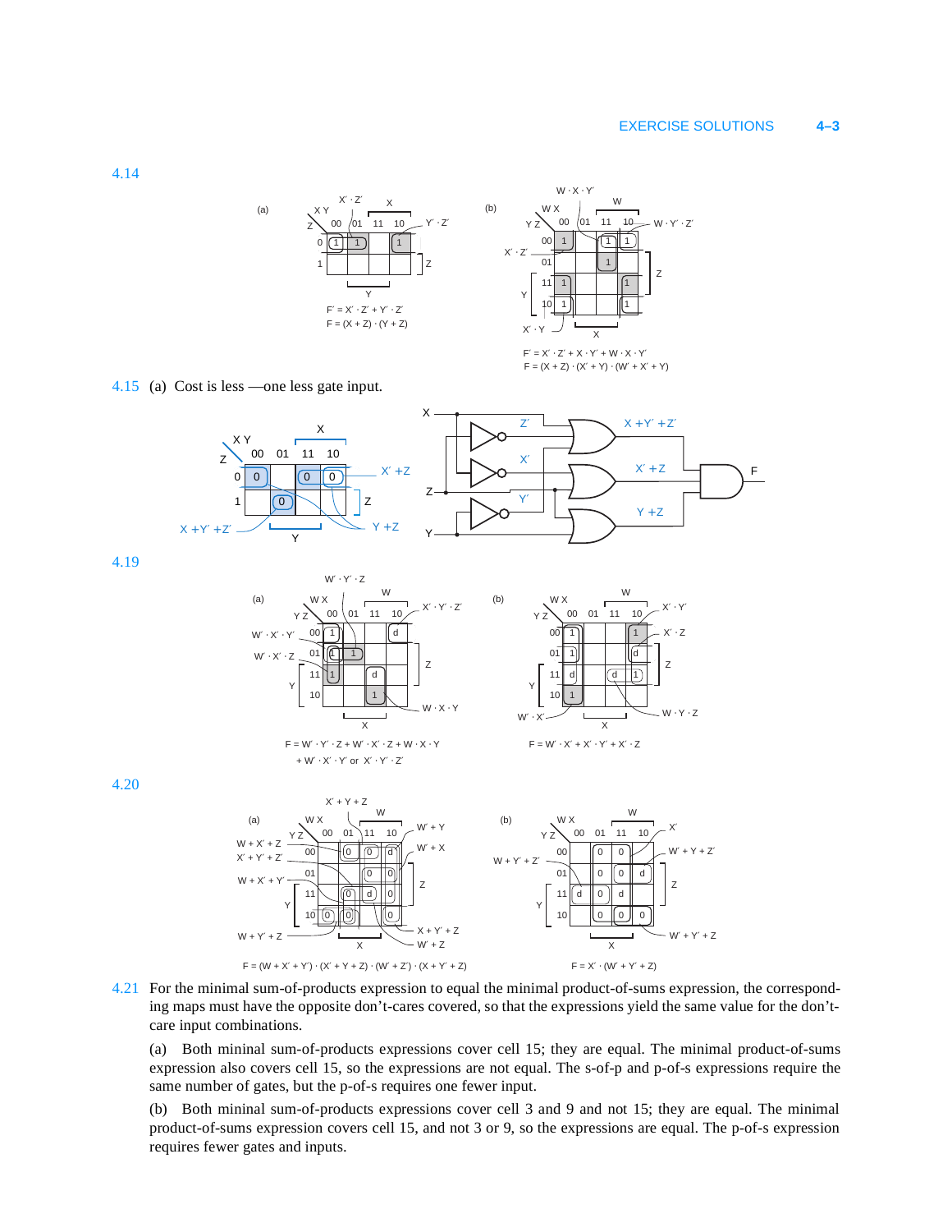#### EXERCISE SOLUTIONS **4–3**

1 || 1 || || || 1 00 *(*01 11 10 ∠ Y′ ⋅ Z′ X Y 0 X Y 1 Z Z (a)  $XY \rightarrow$  (b)  $F' = X' \cdot Z' + Y' \cdot Z'$  $F = (X + Z) \cdot (Y + Z)$ 



4.15 (a) Cost is less —one less gate input.



4.19



4.20



4.21 For the minimal sum-of-products expression to equal the minimal product-of-sums expression, the corresponding maps must have the opposite don't-cares covered, so that the expressions yield the same value for the don'tcare input combinations.

(a) Both mininal sum-of-products expressions cover cell 15; they are equal. The minimal product-of-sums expression also covers cell 15, so the expressions are not equal. The s-of-p and p-of-s expressions require the same number of gates, but the p-of-s requires one fewer input.

(b) Both mininal sum-of-products expressions cover cell 3 and 9 and not 15; they are equal. The minimal product-of-sums expression covers cell 15, and not 3 or 9, so the expressions are equal. The p-of-s expression requires fewer gates and inputs.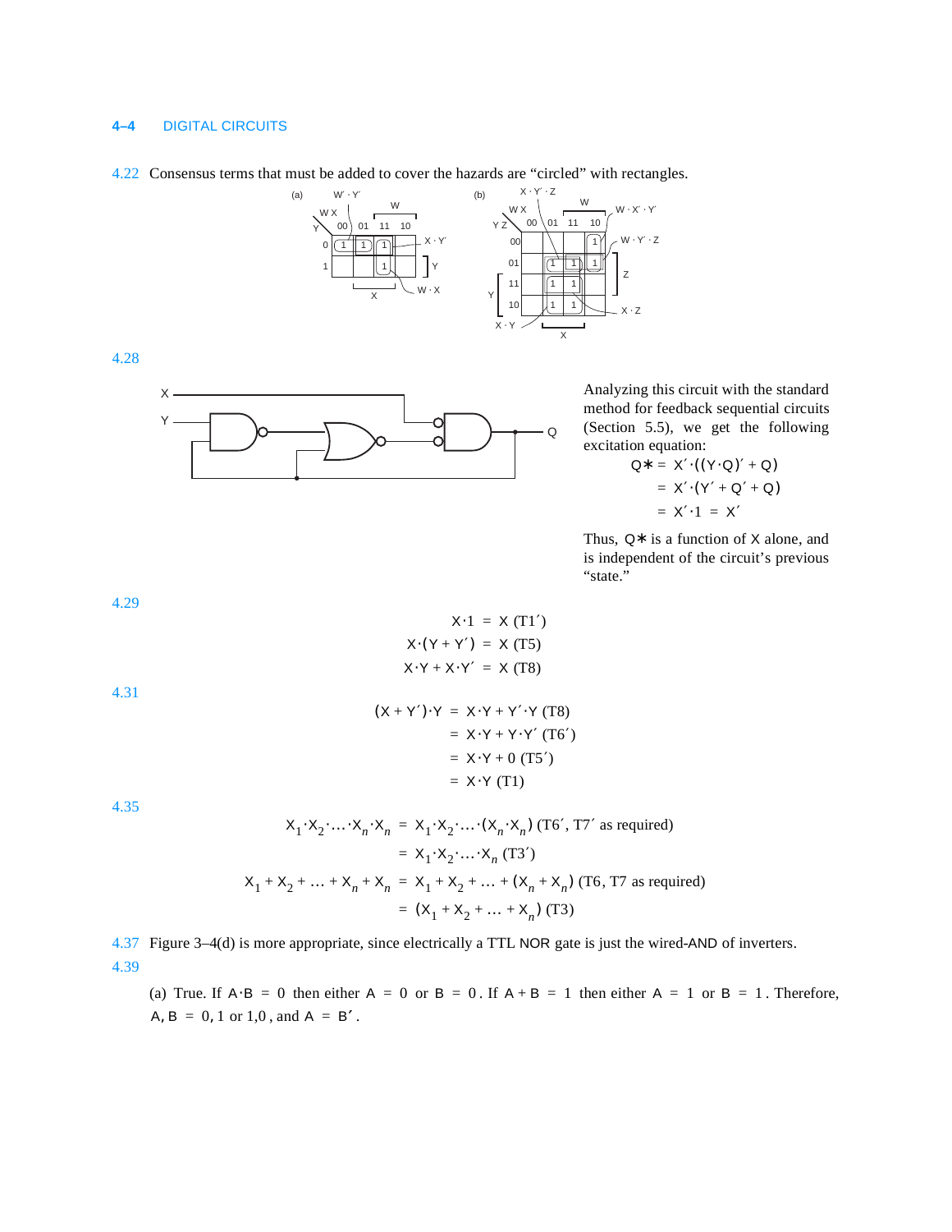### **4–4** DIGITAL CIRCUITS

#### 4.22 Consensus terms that must be added to cover the hazards are "circled" with rectangles.



4.28



Analyzing this circuit with the standard method for feedback sequential circuits (Section 5.5), we get the following excitation equation:

$$
Q^* = X' \cdot ((Y \cdot Q)' + Q)
$$

$$
= X' \cdot (Y' + Q' + Q)
$$

$$
= X' \cdot 1 = X'
$$

Thus,  $Q*$  is a function of X alone, and is independent of the circuit's previous "state."

4.29

$$
X \cdot 1 = X (T1')
$$
  

$$
X \cdot (Y + Y') = X (T5)
$$
  

$$
X \cdot Y + X \cdot Y' = X (T8)
$$

4.31

$$
(X + Y') \cdot Y = X \cdot Y + Y' \cdot Y \text{ (T8)}
$$
  
= X \cdot Y + Y \cdot Y' \text{ (T6')}  
= X \cdot Y + 0 \text{ (T5')}  
= X \cdot Y \text{ (T1)}

4.35

$$
X_1 \cdot X_2 \cdot ... \cdot X_n \cdot X_n = X_1 \cdot X_2 \cdot ... \cdot (X_n \cdot X_n) \text{ (T6', T7' as required)}
$$
  
=  $X_1 \cdot X_2 \cdot ... \cdot X_n \text{ (T3')}$   

$$
X_1 + X_2 + ... + X_n + X_n = X_1 + X_2 + ... + (X_n + X_n) \text{ (T6, T7 as required)}
$$
  
=  $(X_1 + X_2 + ... + X_n) \text{ (T3)}$ 

4.37 Figure 3–4(d) is more appropriate, since electrically a TTL NOR gate is just the wired-AND of inverters. 4.39

(a) True. If  $A \cdot B = 0$  then either  $A = 0$  or  $B = 0$ . If  $A + B = 1$  then either  $A = 1$  or  $B = 1$ . Therefore,  $A, B = 0, 1 \text{ or } 1, 0, \text{ and } A = B'$ .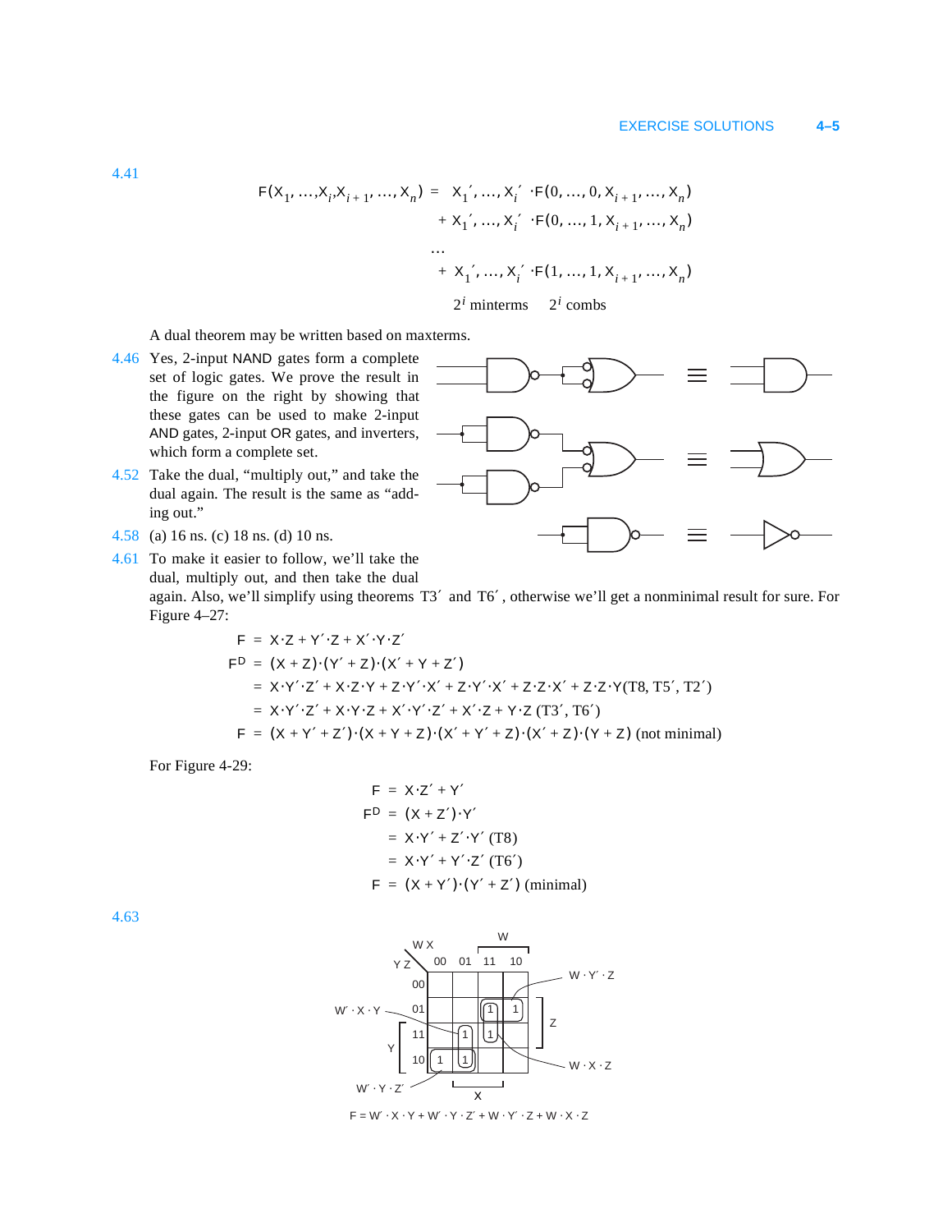$$
F(X_1, ..., X_i, X_{i+1}, ..., X_n) = X'_1, ..., X'_i \cdot F(0, ..., 0, X_{i+1}, ..., X_n)
$$
  
+ X'\_1, ..., X'\_i \cdot F(0, ..., 1, X\_{i+1}, ..., X\_n)  
...  
+ X'\_1, ..., X'\_i \cdot F(1, ..., 1, X\_{i+1}, ..., X\_n)  
2<sup>i</sup> minterms 2<sup>i</sup> combs

A dual theorem may be written based on maxterms.

- 4.46 Yes, 2-input NAND gates form a complete set of logic gates. We prove the result in the figure on the right by showing that these gates can be used to make 2-input AND gates, 2-input OR gates, and inverters, which form a complete set.
- 4.52 Take the dual, "multiply out," and take the dual again. The result is the same as "adding out."
- 4.58 (a) 16 ns. (c) 18 ns. (d) 10 ns.

4.61 To make it easier to follow, we'll take the dual, multiply out, and then take the dual again. Also, we'll simplify using theorems T3' and T6', otherwise we'll get a nonminimal result for sure. For Figure 4–27:  $Y.7 + Y'.7 + Y'.Y.7'$ 

$$
F^{D} = (X + Z) \cdot (Y' + Z) \cdot (X' + Y + Z')
$$
  
= X \cdot Y' \cdot Z' + X \cdot Z \cdot Y + Z \cdot Y' \cdot X' + Z \cdot Y' \cdot X' + Z \cdot Z \cdot X' + Z \cdot Z \cdot Y(T8, TS', T2')  
= X \cdot Y' \cdot Z' + X \cdot Y \cdot Z + X' \cdot Y' \cdot Z' + X' \cdot Z + Y \cdot Z (T3', T6')  

$$
F = (X + Y' + Z') \cdot (X + Y + Z) \cdot (X' + Y' + Z) \cdot (X' + Z) \cdot (Y + Z) \text{ (not minimal)}
$$

For Figure 4-29:

$$
F = X \cdot Z' + Y'
$$
  
\n
$$
F^{D} = (X + Z') \cdot Y'
$$
  
\n
$$
= X \cdot Y' + Z' \cdot Y' (T8)
$$
  
\n
$$
= X \cdot Y' + Y' \cdot Z' (T6')
$$
  
\n
$$
F = (X + Y') \cdot (Y' + Z') (minimal)
$$

4.63



 $\mathsf{F} = \mathsf{W}'\cdot \mathsf{X}\cdot \mathsf{Y} + \mathsf{W}'\cdot \mathsf{Y}\cdot \mathsf{Z}' + \mathsf{W}\cdot \mathsf{Y}'\cdot \mathsf{Z} + \mathsf{W}\cdot \mathsf{X}\cdot \mathsf{Z}$ 

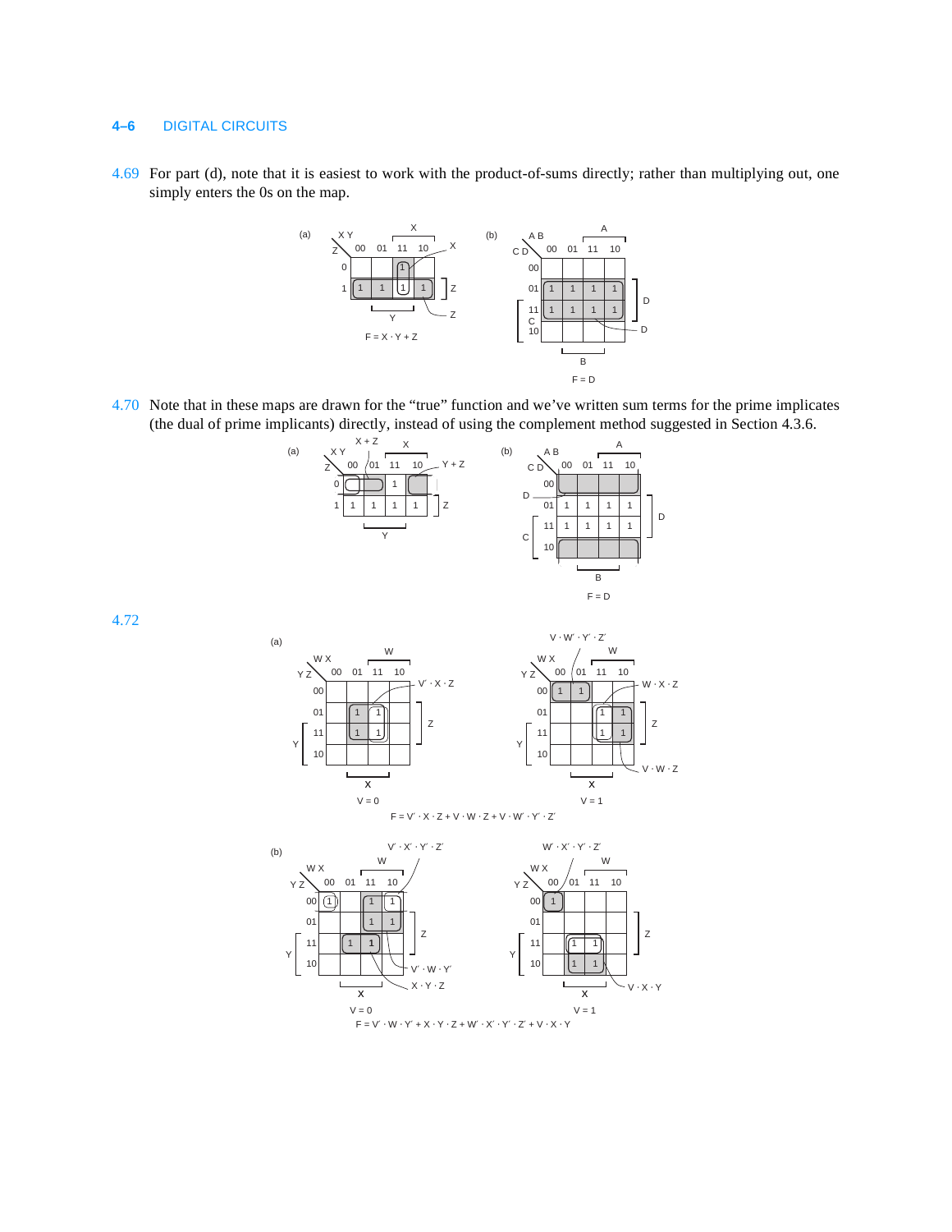## **4–6** DIGITAL CIRCUITS

4.69 For part (d), note that it is easiest to work with the product-of-sums directly; rather than multiplying out, one simply enters the 0s on the map.



4.70 Note that in these maps are drawn for the "true" function and we've written sum terms for the prime implicates (the dual of prime implicants) directly, instead of using the complement method suggested in Section 4.3.6.